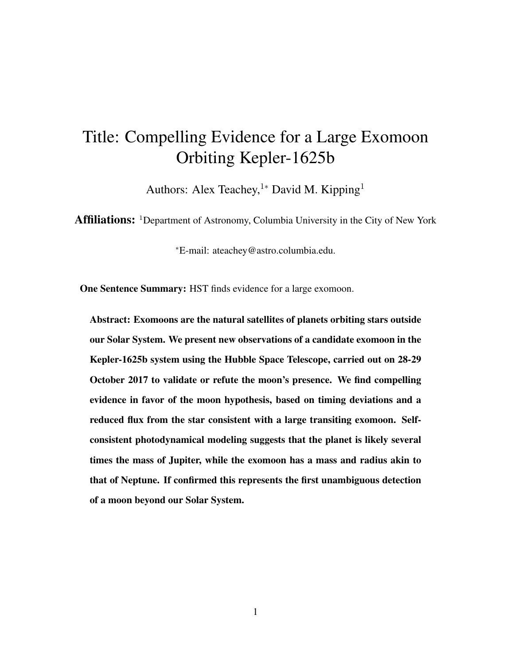## Title: Compelling Evidence for a Large Exomoon Orbiting Kepler-1625b

Authors: Alex Teachey,<sup>1</sup>\* David M. Kipping<sup>1</sup>

Affiliations: <sup>1</sup>Department of Astronomy, Columbia University in the City of New York

<sup>∗</sup>E-mail: ateachey@astro.columbia.edu.

One Sentence Summary: HST finds evidence for a large exomoon.

Abstract: Exomoons are the natural satellites of planets orbiting stars outside our Solar System. We present new observations of a candidate exomoon in the Kepler-1625b system using the Hubble Space Telescope, carried out on 28-29 October 2017 to validate or refute the moon's presence. We find compelling evidence in favor of the moon hypothesis, based on timing deviations and a reduced flux from the star consistent with a large transiting exomoon. Selfconsistent photodynamical modeling suggests that the planet is likely several times the mass of Jupiter, while the exomoon has a mass and radius akin to that of Neptune. If confirmed this represents the first unambiguous detection of a moon beyond our Solar System.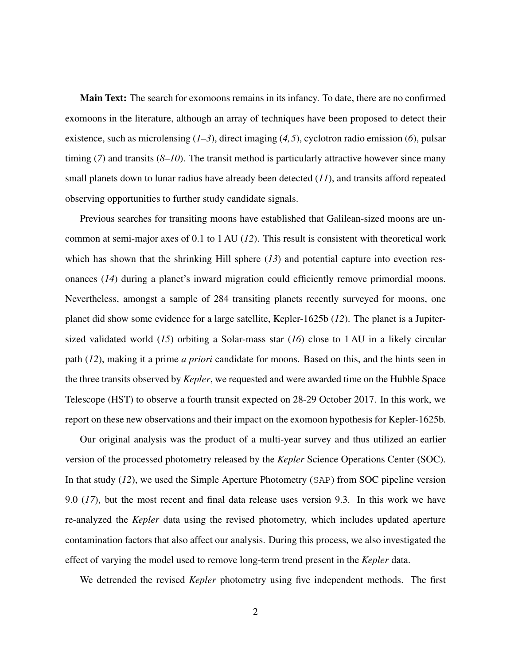Main Text: The search for exomoons remains in its infancy. To date, there are no confirmed exomoons in the literature, although an array of techniques have been proposed to detect their existence, such as microlensing (*1–3*), direct imaging (*4,5*), cyclotron radio emission (*6*), pulsar timing (*7*) and transits (*8–10*). The transit method is particularly attractive however since many small planets down to lunar radius have already been detected (*11*), and transits afford repeated observing opportunities to further study candidate signals.

Previous searches for transiting moons have established that Galilean-sized moons are uncommon at semi-major axes of 0.1 to 1 AU (*12*). This result is consistent with theoretical work which has shown that the shrinking Hill sphere (13) and potential capture into evection resonances (*14*) during a planet's inward migration could efficiently remove primordial moons. Nevertheless, amongst a sample of 284 transiting planets recently surveyed for moons, one planet did show some evidence for a large satellite, Kepler-1625b (*12*). The planet is a Jupitersized validated world (*15*) orbiting a Solar-mass star (*16*) close to 1 AU in a likely circular path (*12*), making it a prime *a priori* candidate for moons. Based on this, and the hints seen in the three transits observed by *Kepler*, we requested and were awarded time on the Hubble Space Telescope (HST) to observe a fourth transit expected on 28-29 October 2017. In this work, we report on these new observations and their impact on the exomoon hypothesis for Kepler-1625b.

Our original analysis was the product of a multi-year survey and thus utilized an earlier version of the processed photometry released by the *Kepler* Science Operations Center (SOC). In that study (*12*), we used the Simple Aperture Photometry (SAP) from SOC pipeline version 9.0 (*17*), but the most recent and final data release uses version 9.3. In this work we have re-analyzed the *Kepler* data using the revised photometry, which includes updated aperture contamination factors that also affect our analysis. During this process, we also investigated the effect of varying the model used to remove long-term trend present in the *Kepler* data.

We detrended the revised *Kepler* photometry using five independent methods. The first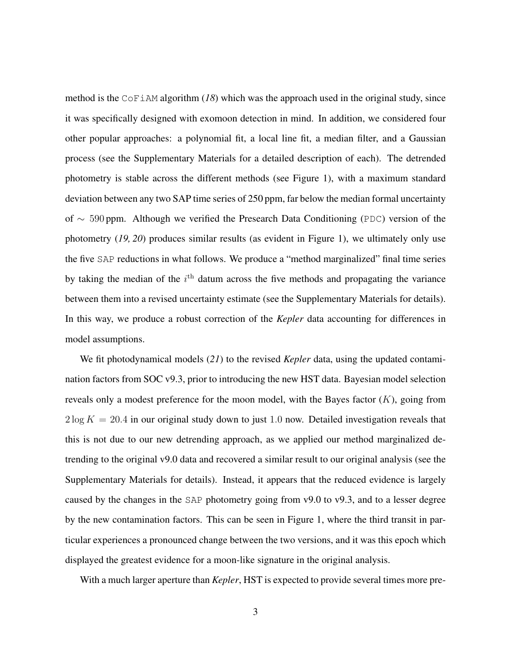method is the CoFiAM algorithm (*18*) which was the approach used in the original study, since it was specifically designed with exomoon detection in mind. In addition, we considered four other popular approaches: a polynomial fit, a local line fit, a median filter, and a Gaussian process (see the Supplementary Materials for a detailed description of each). The detrended photometry is stable across the different methods (see Figure 1), with a maximum standard deviation between any two SAP time series of 250 ppm, far below the median formal uncertainty of ∼ 590 ppm. Although we verified the Presearch Data Conditioning (PDC) version of the photometry (*19, 20*) produces similar results (as evident in Figure 1), we ultimately only use the five SAP reductions in what follows. We produce a "method marginalized" final time series by taking the median of the  $i<sup>th</sup>$  datum across the five methods and propagating the variance between them into a revised uncertainty estimate (see the Supplementary Materials for details). In this way, we produce a robust correction of the *Kepler* data accounting for differences in model assumptions.

We fit photodynamical models (*21*) to the revised *Kepler* data, using the updated contamination factors from SOC v9.3, prior to introducing the new HST data. Bayesian model selection reveals only a modest preference for the moon model, with the Bayes factor  $(K)$ , going from  $2 \log K = 20.4$  in our original study down to just 1.0 now. Detailed investigation reveals that this is not due to our new detrending approach, as we applied our method marginalized detrending to the original v9.0 data and recovered a similar result to our original analysis (see the Supplementary Materials for details). Instead, it appears that the reduced evidence is largely caused by the changes in the SAP photometry going from v9.0 to v9.3, and to a lesser degree by the new contamination factors. This can be seen in Figure 1, where the third transit in particular experiences a pronounced change between the two versions, and it was this epoch which displayed the greatest evidence for a moon-like signature in the original analysis.

With a much larger aperture than *Kepler*, HST is expected to provide several times more pre-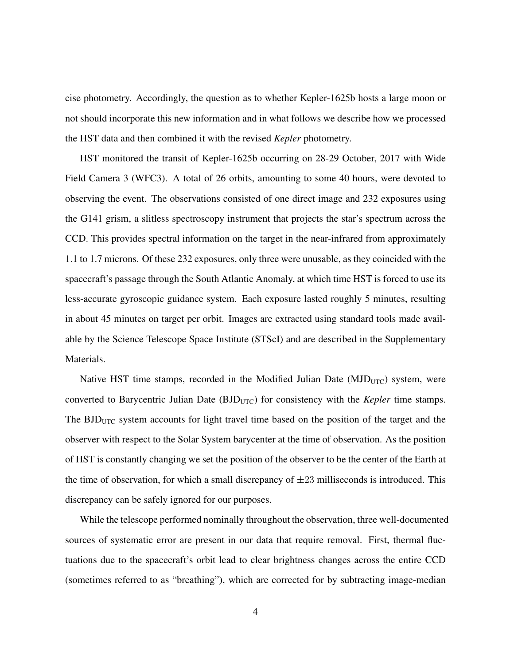cise photometry. Accordingly, the question as to whether Kepler-1625b hosts a large moon or not should incorporate this new information and in what follows we describe how we processed the HST data and then combined it with the revised *Kepler* photometry.

HST monitored the transit of Kepler-1625b occurring on 28-29 October, 2017 with Wide Field Camera 3 (WFC3). A total of 26 orbits, amounting to some 40 hours, were devoted to observing the event. The observations consisted of one direct image and 232 exposures using the G141 grism, a slitless spectroscopy instrument that projects the star's spectrum across the CCD. This provides spectral information on the target in the near-infrared from approximately 1.1 to 1.7 microns. Of these 232 exposures, only three were unusable, as they coincided with the spacecraft's passage through the South Atlantic Anomaly, at which time HST is forced to use its less-accurate gyroscopic guidance system. Each exposure lasted roughly 5 minutes, resulting in about 45 minutes on target per orbit. Images are extracted using standard tools made available by the Science Telescope Space Institute (STScI) and are described in the Supplementary Materials.

Native HST time stamps, recorded in the Modified Julian Date  $(MJD_{UTC})$  system, were converted to Barycentric Julian Date (BJD<sub>UTC</sub>) for consistency with the *Kepler* time stamps. The  $BJD_{UTC}$  system accounts for light travel time based on the position of the target and the observer with respect to the Solar System barycenter at the time of observation. As the position of HST is constantly changing we set the position of the observer to be the center of the Earth at the time of observation, for which a small discrepancy of  $\pm 23$  milliseconds is introduced. This discrepancy can be safely ignored for our purposes.

While the telescope performed nominally throughout the observation, three well-documented sources of systematic error are present in our data that require removal. First, thermal fluctuations due to the spacecraft's orbit lead to clear brightness changes across the entire CCD (sometimes referred to as "breathing"), which are corrected for by subtracting image-median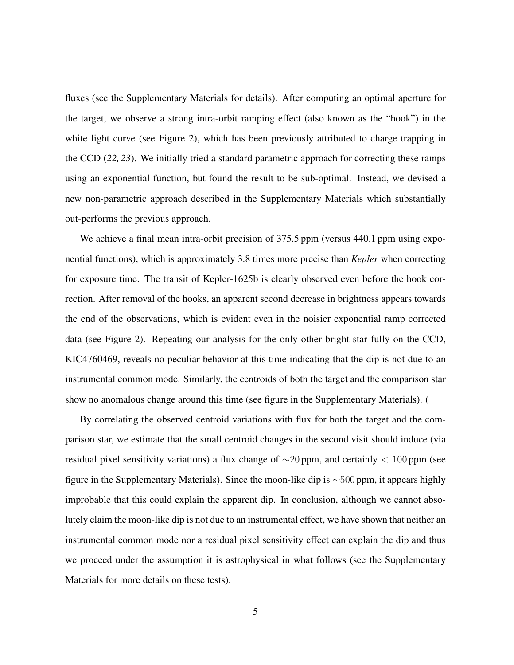fluxes (see the Supplementary Materials for details). After computing an optimal aperture for the target, we observe a strong intra-orbit ramping effect (also known as the "hook") in the white light curve (see Figure 2), which has been previously attributed to charge trapping in the CCD (*22, 23*). We initially tried a standard parametric approach for correcting these ramps using an exponential function, but found the result to be sub-optimal. Instead, we devised a new non-parametric approach described in the Supplementary Materials which substantially out-performs the previous approach.

We achieve a final mean intra-orbit precision of 375.5 ppm (versus 440.1 ppm using exponential functions), which is approximately 3.8 times more precise than *Kepler* when correcting for exposure time. The transit of Kepler-1625b is clearly observed even before the hook correction. After removal of the hooks, an apparent second decrease in brightness appears towards the end of the observations, which is evident even in the noisier exponential ramp corrected data (see Figure 2). Repeating our analysis for the only other bright star fully on the CCD, KIC4760469, reveals no peculiar behavior at this time indicating that the dip is not due to an instrumental common mode. Similarly, the centroids of both the target and the comparison star show no anomalous change around this time (see figure in the Supplementary Materials). (

By correlating the observed centroid variations with flux for both the target and the comparison star, we estimate that the small centroid changes in the second visit should induce (via residual pixel sensitivity variations) a flux change of ∼20 ppm, and certainly < 100 ppm (see figure in the Supplementary Materials). Since the moon-like dip is ∼500 ppm, it appears highly improbable that this could explain the apparent dip. In conclusion, although we cannot absolutely claim the moon-like dip is not due to an instrumental effect, we have shown that neither an instrumental common mode nor a residual pixel sensitivity effect can explain the dip and thus we proceed under the assumption it is astrophysical in what follows (see the Supplementary Materials for more details on these tests).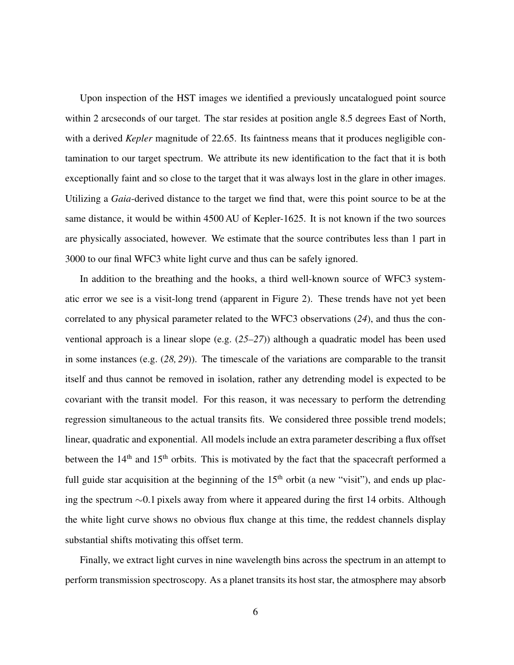Upon inspection of the HST images we identified a previously uncatalogued point source within 2 arcseconds of our target. The star resides at position angle 8.5 degrees East of North, with a derived *Kepler* magnitude of 22.65. Its faintness means that it produces negligible contamination to our target spectrum. We attribute its new identification to the fact that it is both exceptionally faint and so close to the target that it was always lost in the glare in other images. Utilizing a *Gaia*-derived distance to the target we find that, were this point source to be at the same distance, it would be within 4500 AU of Kepler-1625. It is not known if the two sources are physically associated, however. We estimate that the source contributes less than 1 part in 3000 to our final WFC3 white light curve and thus can be safely ignored.

In addition to the breathing and the hooks, a third well-known source of WFC3 systematic error we see is a visit-long trend (apparent in Figure 2). These trends have not yet been correlated to any physical parameter related to the WFC3 observations (*24*), and thus the conventional approach is a linear slope (e.g. (*25–27*)) although a quadratic model has been used in some instances (e.g. (*28, 29*)). The timescale of the variations are comparable to the transit itself and thus cannot be removed in isolation, rather any detrending model is expected to be covariant with the transit model. For this reason, it was necessary to perform the detrending regression simultaneous to the actual transits fits. We considered three possible trend models; linear, quadratic and exponential. All models include an extra parameter describing a flux offset between the  $14<sup>th</sup>$  and  $15<sup>th</sup>$  orbits. This is motivated by the fact that the spacecraft performed a full guide star acquisition at the beginning of the  $15<sup>th</sup>$  orbit (a new "visit"), and ends up placing the spectrum ∼0.1 pixels away from where it appeared during the first 14 orbits. Although the white light curve shows no obvious flux change at this time, the reddest channels display substantial shifts motivating this offset term.

Finally, we extract light curves in nine wavelength bins across the spectrum in an attempt to perform transmission spectroscopy. As a planet transits its host star, the atmosphere may absorb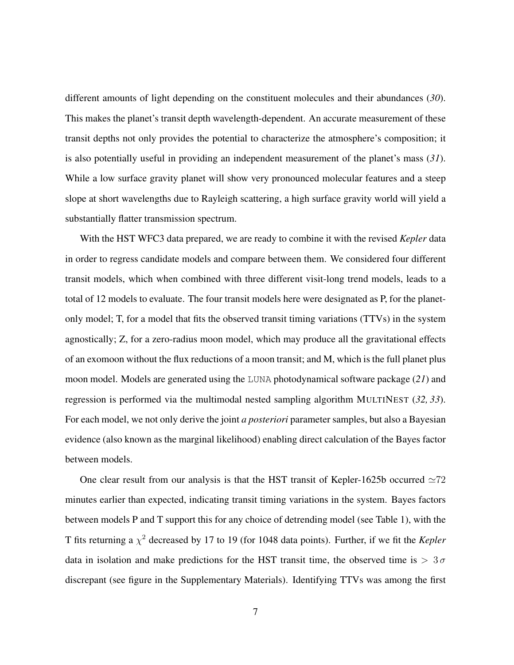different amounts of light depending on the constituent molecules and their abundances (*30*). This makes the planet's transit depth wavelength-dependent. An accurate measurement of these transit depths not only provides the potential to characterize the atmosphere's composition; it is also potentially useful in providing an independent measurement of the planet's mass (*31*). While a low surface gravity planet will show very pronounced molecular features and a steep slope at short wavelengths due to Rayleigh scattering, a high surface gravity world will yield a substantially flatter transmission spectrum.

With the HST WFC3 data prepared, we are ready to combine it with the revised *Kepler* data in order to regress candidate models and compare between them. We considered four different transit models, which when combined with three different visit-long trend models, leads to a total of 12 models to evaluate. The four transit models here were designated as P, for the planetonly model; T, for a model that fits the observed transit timing variations (TTVs) in the system agnostically; Z, for a zero-radius moon model, which may produce all the gravitational effects of an exomoon without the flux reductions of a moon transit; and M, which is the full planet plus moon model. Models are generated using the LUNA photodynamical software package (*21*) and regression is performed via the multimodal nested sampling algorithm MULTINEST (*32, 33*). For each model, we not only derive the joint *a posteriori* parameter samples, but also a Bayesian evidence (also known as the marginal likelihood) enabling direct calculation of the Bayes factor between models.

One clear result from our analysis is that the HST transit of Kepler-1625b occurred  $\simeq 72$ minutes earlier than expected, indicating transit timing variations in the system. Bayes factors between models P and T support this for any choice of detrending model (see Table 1), with the T fits returning a  $\chi^2$  decreased by 17 to 19 (for 1048 data points). Further, if we fit the *Kepler* data in isolation and make predictions for the HST transit time, the observed time is  $> 3\sigma$ discrepant (see figure in the Supplementary Materials). Identifying TTVs was among the first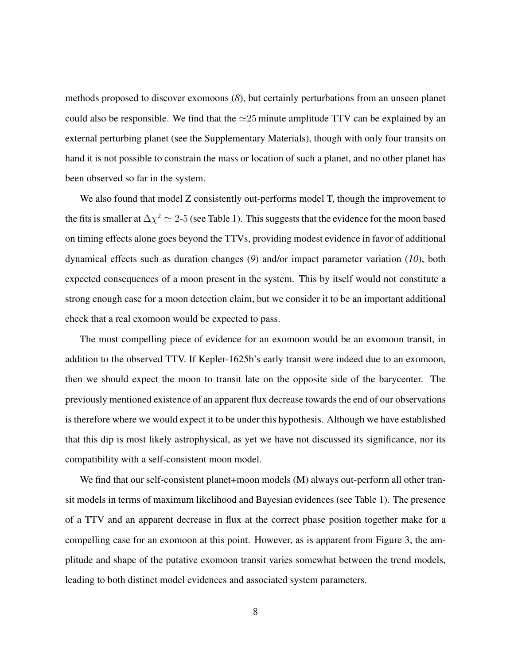methods proposed to discover exomoons (*8*), but certainly perturbations from an unseen planet could also be responsible. We find that the  $\simeq 25$  minute amplitude TTV can be explained by an external perturbing planet (see the Supplementary Materials), though with only four transits on hand it is not possible to constrain the mass or location of such a planet, and no other planet has been observed so far in the system.

We also found that model Z consistently out-performs model T, though the improvement to the fits is smaller at  $\Delta \chi^2 \simeq 2$ -5 (see Table 1). This suggests that the evidence for the moon based on timing effects alone goes beyond the TTVs, providing modest evidence in favor of additional dynamical effects such as duration changes (*9*) and/or impact parameter variation (*10*), both expected consequences of a moon present in the system. This by itself would not constitute a strong enough case for a moon detection claim, but we consider it to be an important additional check that a real exomoon would be expected to pass.

The most compelling piece of evidence for an exomoon would be an exomoon transit, in addition to the observed TTV. If Kepler-1625b's early transit were indeed due to an exomoon, then we should expect the moon to transit late on the opposite side of the barycenter. The previously mentioned existence of an apparent flux decrease towards the end of our observations is therefore where we would expect it to be under this hypothesis. Although we have established that this dip is most likely astrophysical, as yet we have not discussed its significance, nor its compatibility with a self-consistent moon model.

We find that our self-consistent planet+moon models (M) always out-perform all other transit models in terms of maximum likelihood and Bayesian evidences (see Table 1). The presence of a TTV and an apparent decrease in flux at the correct phase position together make for a compelling case for an exomoon at this point. However, as is apparent from Figure 3, the amplitude and shape of the putative exomoon transit varies somewhat between the trend models, leading to both distinct model evidences and associated system parameters.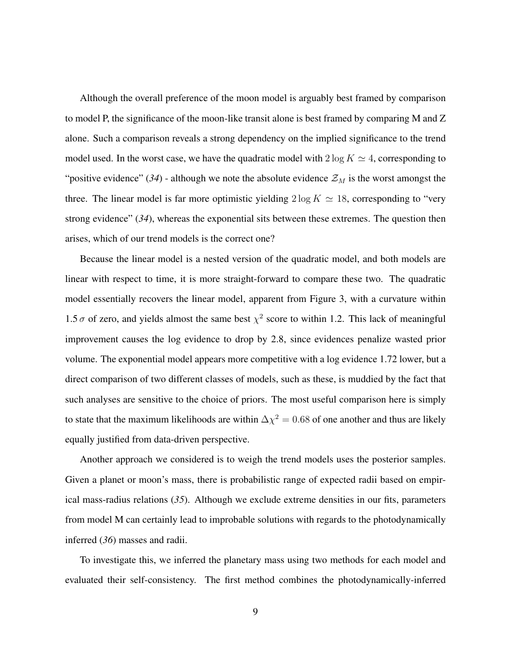Although the overall preference of the moon model is arguably best framed by comparison to model P, the significance of the moon-like transit alone is best framed by comparing M and Z alone. Such a comparison reveals a strong dependency on the implied significance to the trend model used. In the worst case, we have the quadratic model with  $2 \log K \simeq 4$ , corresponding to "positive evidence" (34) - although we note the absolute evidence  $\mathcal{Z}_M$  is the worst amongst the three. The linear model is far more optimistic yielding  $2 \log K \simeq 18$ , corresponding to "very strong evidence" (*34*), whereas the exponential sits between these extremes. The question then arises, which of our trend models is the correct one?

Because the linear model is a nested version of the quadratic model, and both models are linear with respect to time, it is more straight-forward to compare these two. The quadratic model essentially recovers the linear model, apparent from Figure 3, with a curvature within 1.5  $\sigma$  of zero, and yields almost the same best  $\chi^2$  score to within 1.2. This lack of meaningful improvement causes the log evidence to drop by 2.8, since evidences penalize wasted prior volume. The exponential model appears more competitive with a log evidence 1.72 lower, but a direct comparison of two different classes of models, such as these, is muddied by the fact that such analyses are sensitive to the choice of priors. The most useful comparison here is simply to state that the maximum likelihoods are within  $\Delta \chi^2 = 0.68$  of one another and thus are likely equally justified from data-driven perspective.

Another approach we considered is to weigh the trend models uses the posterior samples. Given a planet or moon's mass, there is probabilistic range of expected radii based on empirical mass-radius relations (*35*). Although we exclude extreme densities in our fits, parameters from model M can certainly lead to improbable solutions with regards to the photodynamically inferred (*36*) masses and radii.

To investigate this, we inferred the planetary mass using two methods for each model and evaluated their self-consistency. The first method combines the photodynamically-inferred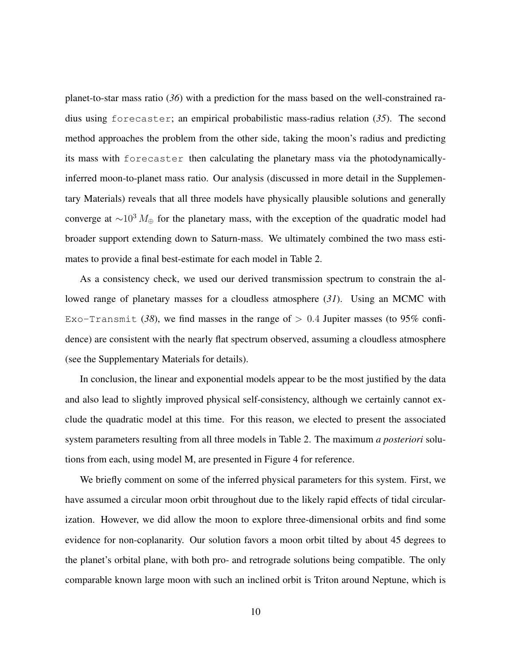planet-to-star mass ratio (*36*) with a prediction for the mass based on the well-constrained radius using forecaster; an empirical probabilistic mass-radius relation (*35*). The second method approaches the problem from the other side, taking the moon's radius and predicting its mass with forecaster then calculating the planetary mass via the photodynamicallyinferred moon-to-planet mass ratio. Our analysis (discussed in more detail in the Supplementary Materials) reveals that all three models have physically plausible solutions and generally converge at  $\sim 10^3 M_{\oplus}$  for the planetary mass, with the exception of the quadratic model had broader support extending down to Saturn-mass. We ultimately combined the two mass estimates to provide a final best-estimate for each model in Table 2.

As a consistency check, we used our derived transmission spectrum to constrain the allowed range of planetary masses for a cloudless atmosphere (*31*). Using an MCMC with Exo-Transmit (38), we find masses in the range of  $> 0.4$  Jupiter masses (to 95% confidence) are consistent with the nearly flat spectrum observed, assuming a cloudless atmosphere (see the Supplementary Materials for details).

In conclusion, the linear and exponential models appear to be the most justified by the data and also lead to slightly improved physical self-consistency, although we certainly cannot exclude the quadratic model at this time. For this reason, we elected to present the associated system parameters resulting from all three models in Table 2. The maximum *a posteriori* solutions from each, using model M, are presented in Figure 4 for reference.

We briefly comment on some of the inferred physical parameters for this system. First, we have assumed a circular moon orbit throughout due to the likely rapid effects of tidal circularization. However, we did allow the moon to explore three-dimensional orbits and find some evidence for non-coplanarity. Our solution favors a moon orbit tilted by about 45 degrees to the planet's orbital plane, with both pro- and retrograde solutions being compatible. The only comparable known large moon with such an inclined orbit is Triton around Neptune, which is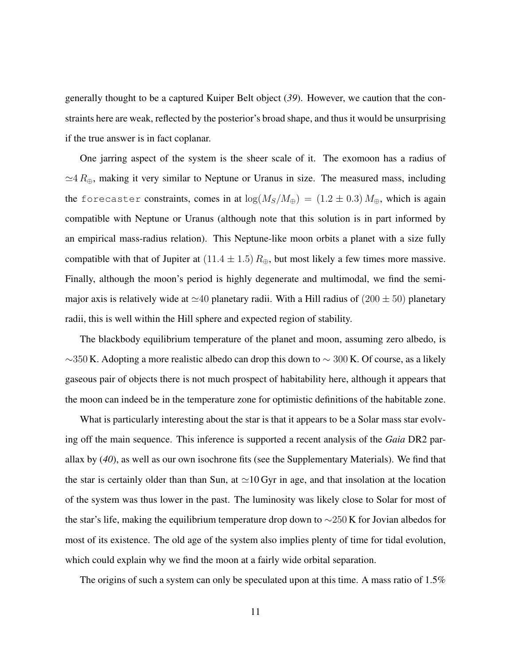generally thought to be a captured Kuiper Belt object (*39*). However, we caution that the constraints here are weak, reflected by the posterior's broad shape, and thus it would be unsurprising if the true answer is in fact coplanar.

One jarring aspect of the system is the sheer scale of it. The exomoon has a radius of  $\simeq$ 4  $R_{\oplus}$ , making it very similar to Neptune or Uranus in size. The measured mass, including the forecaster constraints, comes in at  $\log(M_S/M_{\oplus}) = (1.2 \pm 0.3) M_{\oplus}$ , which is again compatible with Neptune or Uranus (although note that this solution is in part informed by an empirical mass-radius relation). This Neptune-like moon orbits a planet with a size fully compatible with that of Jupiter at  $(11.4 \pm 1.5) R_{\oplus}$ , but most likely a few times more massive. Finally, although the moon's period is highly degenerate and multimodal, we find the semimajor axis is relatively wide at  $\simeq 40$  planetary radii. With a Hill radius of  $(200 \pm 50)$  planetary radii, this is well within the Hill sphere and expected region of stability.

The blackbody equilibrium temperature of the planet and moon, assuming zero albedo, is  $\sim$ 350 K. Adopting a more realistic albedo can drop this down to  $\sim$  300 K. Of course, as a likely gaseous pair of objects there is not much prospect of habitability here, although it appears that the moon can indeed be in the temperature zone for optimistic definitions of the habitable zone.

What is particularly interesting about the star is that it appears to be a Solar mass star evolving off the main sequence. This inference is supported a recent analysis of the *Gaia* DR2 parallax by (*40*), as well as our own isochrone fits (see the Supplementary Materials). We find that the star is certainly older than than Sun, at  $\simeq$  10 Gyr in age, and that insolation at the location of the system was thus lower in the past. The luminosity was likely close to Solar for most of the star's life, making the equilibrium temperature drop down to ∼250 K for Jovian albedos for most of its existence. The old age of the system also implies plenty of time for tidal evolution, which could explain why we find the moon at a fairly wide orbital separation.

The origins of such a system can only be speculated upon at this time. A mass ratio of 1.5%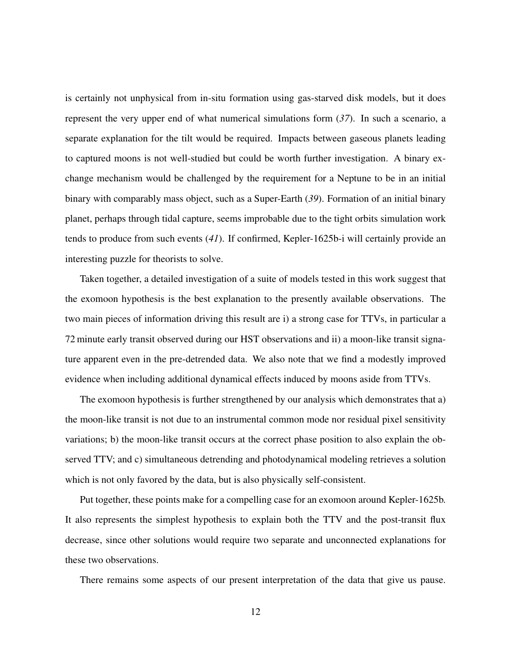is certainly not unphysical from in-situ formation using gas-starved disk models, but it does represent the very upper end of what numerical simulations form (*37*). In such a scenario, a separate explanation for the tilt would be required. Impacts between gaseous planets leading to captured moons is not well-studied but could be worth further investigation. A binary exchange mechanism would be challenged by the requirement for a Neptune to be in an initial binary with comparably mass object, such as a Super-Earth (*39*). Formation of an initial binary planet, perhaps through tidal capture, seems improbable due to the tight orbits simulation work tends to produce from such events (*41*). If confirmed, Kepler-1625b-i will certainly provide an interesting puzzle for theorists to solve.

Taken together, a detailed investigation of a suite of models tested in this work suggest that the exomoon hypothesis is the best explanation to the presently available observations. The two main pieces of information driving this result are i) a strong case for TTVs, in particular a 72 minute early transit observed during our HST observations and ii) a moon-like transit signature apparent even in the pre-detrended data. We also note that we find a modestly improved evidence when including additional dynamical effects induced by moons aside from TTVs.

The exomoon hypothesis is further strengthened by our analysis which demonstrates that a) the moon-like transit is not due to an instrumental common mode nor residual pixel sensitivity variations; b) the moon-like transit occurs at the correct phase position to also explain the observed TTV; and c) simultaneous detrending and photodynamical modeling retrieves a solution which is not only favored by the data, but is also physically self-consistent.

Put together, these points make for a compelling case for an exomoon around Kepler-1625b. It also represents the simplest hypothesis to explain both the TTV and the post-transit flux decrease, since other solutions would require two separate and unconnected explanations for these two observations.

There remains some aspects of our present interpretation of the data that give us pause.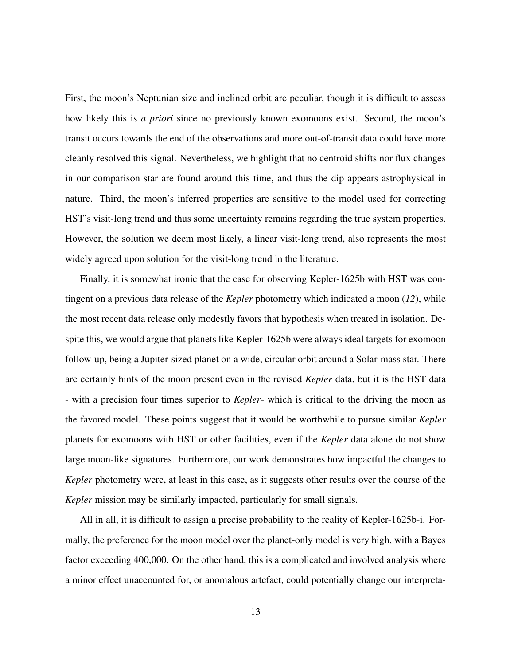First, the moon's Neptunian size and inclined orbit are peculiar, though it is difficult to assess how likely this is *a priori* since no previously known exomoons exist. Second, the moon's transit occurs towards the end of the observations and more out-of-transit data could have more cleanly resolved this signal. Nevertheless, we highlight that no centroid shifts nor flux changes in our comparison star are found around this time, and thus the dip appears astrophysical in nature. Third, the moon's inferred properties are sensitive to the model used for correcting HST's visit-long trend and thus some uncertainty remains regarding the true system properties. However, the solution we deem most likely, a linear visit-long trend, also represents the most widely agreed upon solution for the visit-long trend in the literature.

Finally, it is somewhat ironic that the case for observing Kepler-1625b with HST was contingent on a previous data release of the *Kepler* photometry which indicated a moon (*12*), while the most recent data release only modestly favors that hypothesis when treated in isolation. Despite this, we would argue that planets like Kepler-1625b were always ideal targets for exomoon follow-up, being a Jupiter-sized planet on a wide, circular orbit around a Solar-mass star. There are certainly hints of the moon present even in the revised *Kepler* data, but it is the HST data - with a precision four times superior to *Kepler*- which is critical to the driving the moon as the favored model. These points suggest that it would be worthwhile to pursue similar *Kepler* planets for exomoons with HST or other facilities, even if the *Kepler* data alone do not show large moon-like signatures. Furthermore, our work demonstrates how impactful the changes to *Kepler* photometry were, at least in this case, as it suggests other results over the course of the *Kepler* mission may be similarly impacted, particularly for small signals.

All in all, it is difficult to assign a precise probability to the reality of Kepler-1625b-i. Formally, the preference for the moon model over the planet-only model is very high, with a Bayes factor exceeding 400,000. On the other hand, this is a complicated and involved analysis where a minor effect unaccounted for, or anomalous artefact, could potentially change our interpreta-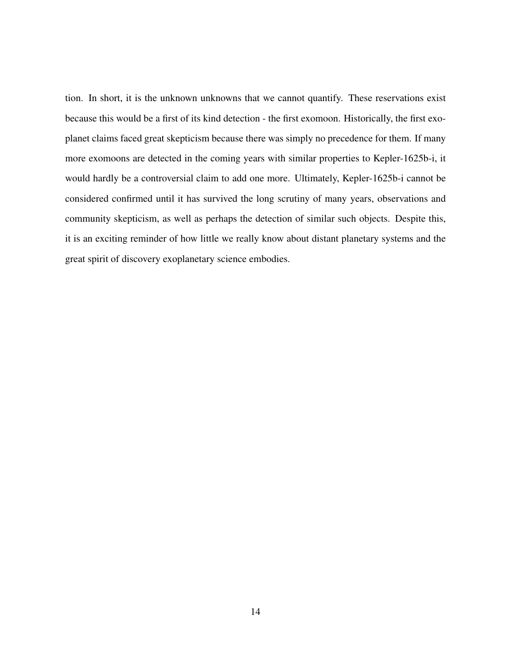tion. In short, it is the unknown unknowns that we cannot quantify. These reservations exist because this would be a first of its kind detection - the first exomoon. Historically, the first exoplanet claims faced great skepticism because there was simply no precedence for them. If many more exomoons are detected in the coming years with similar properties to Kepler-1625b-i, it would hardly be a controversial claim to add one more. Ultimately, Kepler-1625b-i cannot be considered confirmed until it has survived the long scrutiny of many years, observations and community skepticism, as well as perhaps the detection of similar such objects. Despite this, it is an exciting reminder of how little we really know about distant planetary systems and the great spirit of discovery exoplanetary science embodies.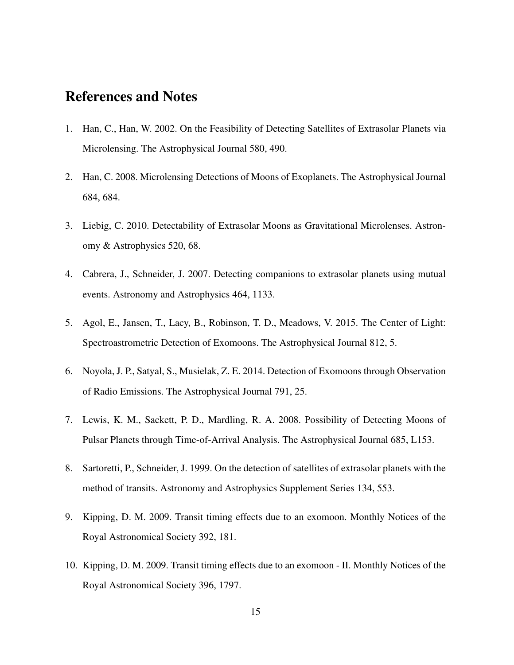## References and Notes

- 1. Han, C., Han, W. 2002. On the Feasibility of Detecting Satellites of Extrasolar Planets via Microlensing. The Astrophysical Journal 580, 490.
- 2. Han, C. 2008. Microlensing Detections of Moons of Exoplanets. The Astrophysical Journal 684, 684.
- 3. Liebig, C. 2010. Detectability of Extrasolar Moons as Gravitational Microlenses. Astronomy & Astrophysics 520, 68.
- 4. Cabrera, J., Schneider, J. 2007. Detecting companions to extrasolar planets using mutual events. Astronomy and Astrophysics 464, 1133.
- 5. Agol, E., Jansen, T., Lacy, B., Robinson, T. D., Meadows, V. 2015. The Center of Light: Spectroastrometric Detection of Exomoons. The Astrophysical Journal 812, 5.
- 6. Noyola, J. P., Satyal, S., Musielak, Z. E. 2014. Detection of Exomoons through Observation of Radio Emissions. The Astrophysical Journal 791, 25.
- 7. Lewis, K. M., Sackett, P. D., Mardling, R. A. 2008. Possibility of Detecting Moons of Pulsar Planets through Time-of-Arrival Analysis. The Astrophysical Journal 685, L153.
- 8. Sartoretti, P., Schneider, J. 1999. On the detection of satellites of extrasolar planets with the method of transits. Astronomy and Astrophysics Supplement Series 134, 553.
- 9. Kipping, D. M. 2009. Transit timing effects due to an exomoon. Monthly Notices of the Royal Astronomical Society 392, 181.
- 10. Kipping, D. M. 2009. Transit timing effects due to an exomoon II. Monthly Notices of the Royal Astronomical Society 396, 1797.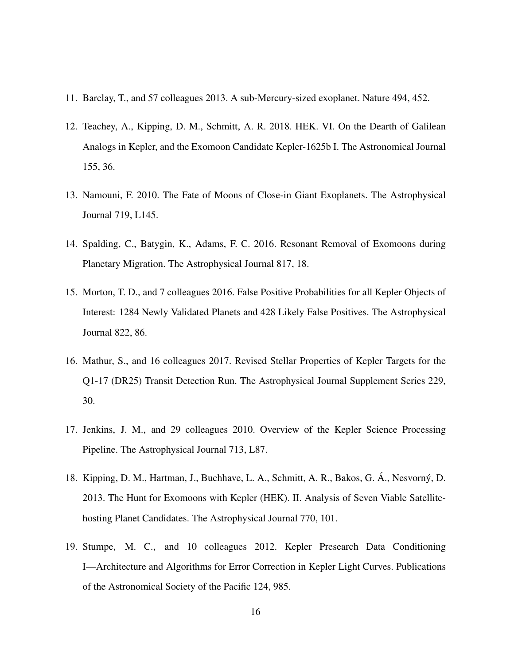- 11. Barclay, T., and 57 colleagues 2013. A sub-Mercury-sized exoplanet. Nature 494, 452.
- 12. Teachey, A., Kipping, D. M., Schmitt, A. R. 2018. HEK. VI. On the Dearth of Galilean Analogs in Kepler, and the Exomoon Candidate Kepler-1625b I. The Astronomical Journal 155, 36.
- 13. Namouni, F. 2010. The Fate of Moons of Close-in Giant Exoplanets. The Astrophysical Journal 719, L145.
- 14. Spalding, C., Batygin, K., Adams, F. C. 2016. Resonant Removal of Exomoons during Planetary Migration. The Astrophysical Journal 817, 18.
- 15. Morton, T. D., and 7 colleagues 2016. False Positive Probabilities for all Kepler Objects of Interest: 1284 Newly Validated Planets and 428 Likely False Positives. The Astrophysical Journal 822, 86.
- 16. Mathur, S., and 16 colleagues 2017. Revised Stellar Properties of Kepler Targets for the Q1-17 (DR25) Transit Detection Run. The Astrophysical Journal Supplement Series 229, 30.
- 17. Jenkins, J. M., and 29 colleagues 2010. Overview of the Kepler Science Processing Pipeline. The Astrophysical Journal 713, L87.
- 18. Kipping, D. M., Hartman, J., Buchhave, L. A., Schmitt, A. R., Bakos, G. Á., Nesvorný, D. 2013. The Hunt for Exomoons with Kepler (HEK). II. Analysis of Seven Viable Satellitehosting Planet Candidates. The Astrophysical Journal 770, 101.
- 19. Stumpe, M. C., and 10 colleagues 2012. Kepler Presearch Data Conditioning I—Architecture and Algorithms for Error Correction in Kepler Light Curves. Publications of the Astronomical Society of the Pacific 124, 985.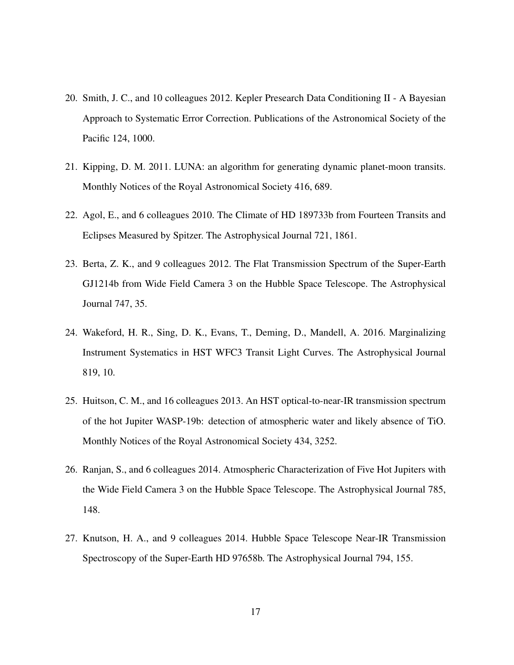- 20. Smith, J. C., and 10 colleagues 2012. Kepler Presearch Data Conditioning II A Bayesian Approach to Systematic Error Correction. Publications of the Astronomical Society of the Pacific 124, 1000.
- 21. Kipping, D. M. 2011. LUNA: an algorithm for generating dynamic planet-moon transits. Monthly Notices of the Royal Astronomical Society 416, 689.
- 22. Agol, E., and 6 colleagues 2010. The Climate of HD 189733b from Fourteen Transits and Eclipses Measured by Spitzer. The Astrophysical Journal 721, 1861.
- 23. Berta, Z. K., and 9 colleagues 2012. The Flat Transmission Spectrum of the Super-Earth GJ1214b from Wide Field Camera 3 on the Hubble Space Telescope. The Astrophysical Journal 747, 35.
- 24. Wakeford, H. R., Sing, D. K., Evans, T., Deming, D., Mandell, A. 2016. Marginalizing Instrument Systematics in HST WFC3 Transit Light Curves. The Astrophysical Journal 819, 10.
- 25. Huitson, C. M., and 16 colleagues 2013. An HST optical-to-near-IR transmission spectrum of the hot Jupiter WASP-19b: detection of atmospheric water and likely absence of TiO. Monthly Notices of the Royal Astronomical Society 434, 3252.
- 26. Ranjan, S., and 6 colleagues 2014. Atmospheric Characterization of Five Hot Jupiters with the Wide Field Camera 3 on the Hubble Space Telescope. The Astrophysical Journal 785, 148.
- 27. Knutson, H. A., and 9 colleagues 2014. Hubble Space Telescope Near-IR Transmission Spectroscopy of the Super-Earth HD 97658b. The Astrophysical Journal 794, 155.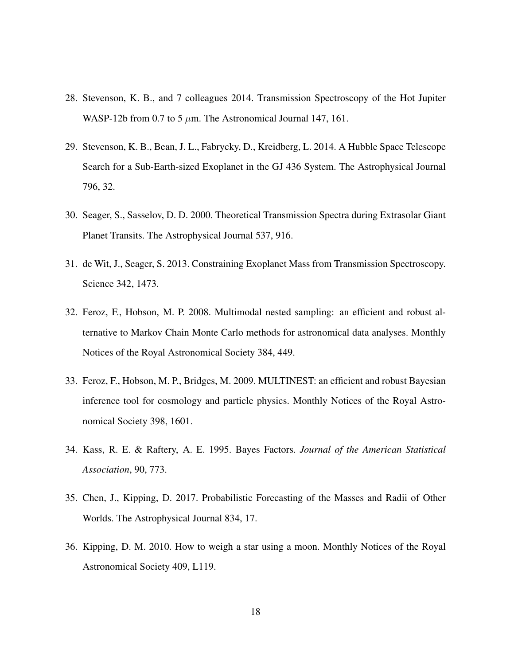- 28. Stevenson, K. B., and 7 colleagues 2014. Transmission Spectroscopy of the Hot Jupiter WASP-12b from 0.7 to 5  $\mu$ m. The Astronomical Journal 147, 161.
- 29. Stevenson, K. B., Bean, J. L., Fabrycky, D., Kreidberg, L. 2014. A Hubble Space Telescope Search for a Sub-Earth-sized Exoplanet in the GJ 436 System. The Astrophysical Journal 796, 32.
- 30. Seager, S., Sasselov, D. D. 2000. Theoretical Transmission Spectra during Extrasolar Giant Planet Transits. The Astrophysical Journal 537, 916.
- 31. de Wit, J., Seager, S. 2013. Constraining Exoplanet Mass from Transmission Spectroscopy. Science 342, 1473.
- 32. Feroz, F., Hobson, M. P. 2008. Multimodal nested sampling: an efficient and robust alternative to Markov Chain Monte Carlo methods for astronomical data analyses. Monthly Notices of the Royal Astronomical Society 384, 449.
- 33. Feroz, F., Hobson, M. P., Bridges, M. 2009. MULTINEST: an efficient and robust Bayesian inference tool for cosmology and particle physics. Monthly Notices of the Royal Astronomical Society 398, 1601.
- 34. Kass, R. E. & Raftery, A. E. 1995. Bayes Factors. *Journal of the American Statistical Association*, 90, 773.
- 35. Chen, J., Kipping, D. 2017. Probabilistic Forecasting of the Masses and Radii of Other Worlds. The Astrophysical Journal 834, 17.
- 36. Kipping, D. M. 2010. How to weigh a star using a moon. Monthly Notices of the Royal Astronomical Society 409, L119.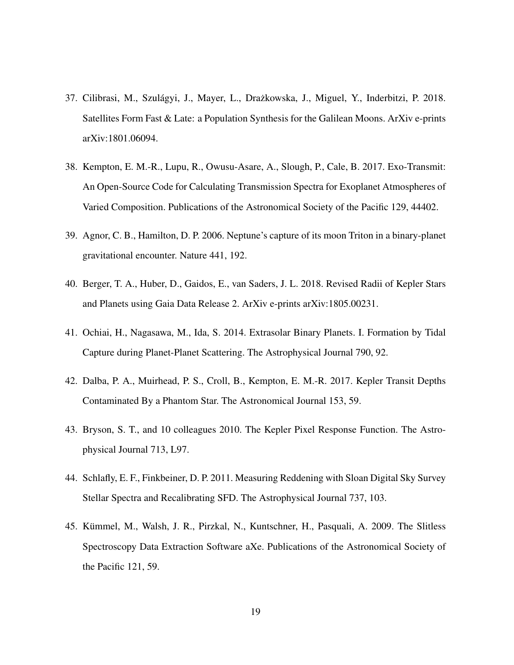- 37. Cilibrasi, M., Szulágyi, J., Mayer, L., Drażkowska, J., Miguel, Y., Inderbitzi, P. 2018. Satellites Form Fast & Late: a Population Synthesis for the Galilean Moons. ArXiv e-prints arXiv:1801.06094.
- 38. Kempton, E. M.-R., Lupu, R., Owusu-Asare, A., Slough, P., Cale, B. 2017. Exo-Transmit: An Open-Source Code for Calculating Transmission Spectra for Exoplanet Atmospheres of Varied Composition. Publications of the Astronomical Society of the Pacific 129, 44402.
- 39. Agnor, C. B., Hamilton, D. P. 2006. Neptune's capture of its moon Triton in a binary-planet gravitational encounter. Nature 441, 192.
- 40. Berger, T. A., Huber, D., Gaidos, E., van Saders, J. L. 2018. Revised Radii of Kepler Stars and Planets using Gaia Data Release 2. ArXiv e-prints arXiv:1805.00231.
- 41. Ochiai, H., Nagasawa, M., Ida, S. 2014. Extrasolar Binary Planets. I. Formation by Tidal Capture during Planet-Planet Scattering. The Astrophysical Journal 790, 92.
- 42. Dalba, P. A., Muirhead, P. S., Croll, B., Kempton, E. M.-R. 2017. Kepler Transit Depths Contaminated By a Phantom Star. The Astronomical Journal 153, 59.
- 43. Bryson, S. T., and 10 colleagues 2010. The Kepler Pixel Response Function. The Astrophysical Journal 713, L97.
- 44. Schlafly, E. F., Finkbeiner, D. P. 2011. Measuring Reddening with Sloan Digital Sky Survey Stellar Spectra and Recalibrating SFD. The Astrophysical Journal 737, 103.
- 45. Kümmel, M., Walsh, J. R., Pirzkal, N., Kuntschner, H., Pasquali, A. 2009. The Slitless Spectroscopy Data Extraction Software aXe. Publications of the Astronomical Society of the Pacific 121, 59.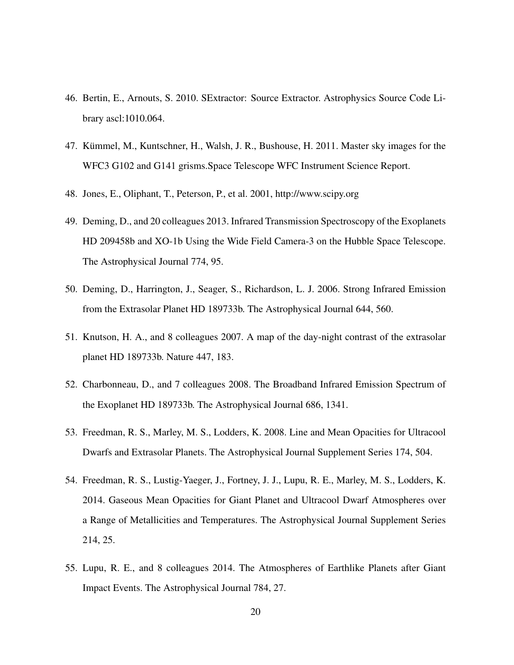- 46. Bertin, E., Arnouts, S. 2010. SExtractor: Source Extractor. Astrophysics Source Code Library ascl:1010.064.
- 47. Kümmel, M., Kuntschner, H., Walsh, J. R., Bushouse, H. 2011. Master sky images for the WFC3 G102 and G141 grisms.Space Telescope WFC Instrument Science Report.
- 48. Jones, E., Oliphant, T., Peterson, P., et al. 2001, http://www.scipy.org
- 49. Deming, D., and 20 colleagues 2013. Infrared Transmission Spectroscopy of the Exoplanets HD 209458b and XO-1b Using the Wide Field Camera-3 on the Hubble Space Telescope. The Astrophysical Journal 774, 95.
- 50. Deming, D., Harrington, J., Seager, S., Richardson, L. J. 2006. Strong Infrared Emission from the Extrasolar Planet HD 189733b. The Astrophysical Journal 644, 560.
- 51. Knutson, H. A., and 8 colleagues 2007. A map of the day-night contrast of the extrasolar planet HD 189733b. Nature 447, 183.
- 52. Charbonneau, D., and 7 colleagues 2008. The Broadband Infrared Emission Spectrum of the Exoplanet HD 189733b. The Astrophysical Journal 686, 1341.
- 53. Freedman, R. S., Marley, M. S., Lodders, K. 2008. Line and Mean Opacities for Ultracool Dwarfs and Extrasolar Planets. The Astrophysical Journal Supplement Series 174, 504.
- 54. Freedman, R. S., Lustig-Yaeger, J., Fortney, J. J., Lupu, R. E., Marley, M. S., Lodders, K. 2014. Gaseous Mean Opacities for Giant Planet and Ultracool Dwarf Atmospheres over a Range of Metallicities and Temperatures. The Astrophysical Journal Supplement Series 214, 25.
- 55. Lupu, R. E., and 8 colleagues 2014. The Atmospheres of Earthlike Planets after Giant Impact Events. The Astrophysical Journal 784, 27.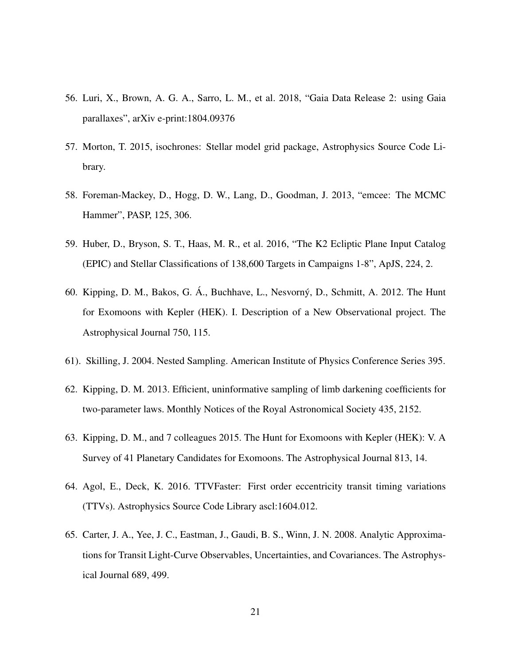- 56. Luri, X., Brown, A. G. A., Sarro, L. M., et al. 2018, "Gaia Data Release 2: using Gaia parallaxes", arXiv e-print:1804.09376
- 57. Morton, T. 2015, isochrones: Stellar model grid package, Astrophysics Source Code Library.
- 58. Foreman-Mackey, D., Hogg, D. W., Lang, D., Goodman, J. 2013, "emcee: The MCMC Hammer", PASP, 125, 306.
- 59. Huber, D., Bryson, S. T., Haas, M. R., et al. 2016, "The K2 Ecliptic Plane Input Catalog (EPIC) and Stellar Classifications of 138,600 Targets in Campaigns 1-8", ApJS, 224, 2.
- 60. Kipping, D. M., Bakos, G. Á., Buchhave, L., Nesvorný, D., Schmitt, A. 2012. The Hunt for Exomoons with Kepler (HEK). I. Description of a New Observational project. The Astrophysical Journal 750, 115.
- 61). Skilling, J. 2004. Nested Sampling. American Institute of Physics Conference Series 395.
- 62. Kipping, D. M. 2013. Efficient, uninformative sampling of limb darkening coefficients for two-parameter laws. Monthly Notices of the Royal Astronomical Society 435, 2152.
- 63. Kipping, D. M., and 7 colleagues 2015. The Hunt for Exomoons with Kepler (HEK): V. A Survey of 41 Planetary Candidates for Exomoons. The Astrophysical Journal 813, 14.
- 64. Agol, E., Deck, K. 2016. TTVFaster: First order eccentricity transit timing variations (TTVs). Astrophysics Source Code Library ascl:1604.012.
- 65. Carter, J. A., Yee, J. C., Eastman, J., Gaudi, B. S., Winn, J. N. 2008. Analytic Approximations for Transit Light-Curve Observables, Uncertainties, and Covariances. The Astrophysical Journal 689, 499.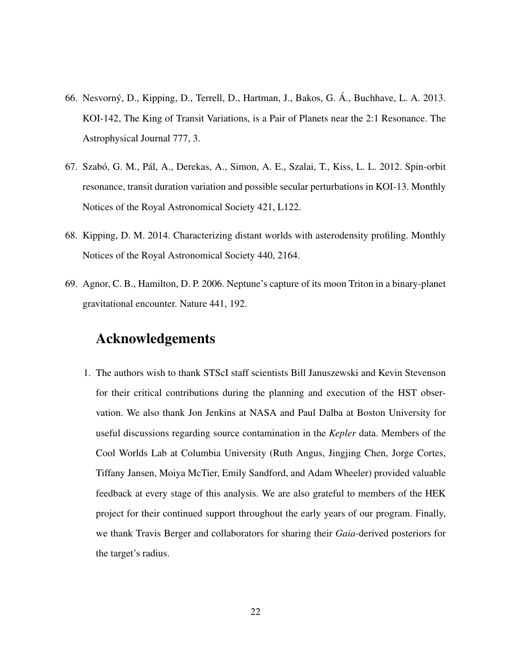- 66. Nesvorný, D., Kipping, D., Terrell, D., Hartman, J., Bakos, G. Á., Buchhave, L. A. 2013. KOI-142, The King of Transit Variations, is a Pair of Planets near the 2:1 Resonance. The Astrophysical Journal 777, 3.
- 67. Szabó, G. M., Pál, A., Derekas, A., Simon, A. E., Szalai, T., Kiss, L. L. 2012. Spin-orbit resonance, transit duration variation and possible secular perturbations in KOI-13. Monthly Notices of the Royal Astronomical Society 421, L122.
- 68. Kipping, D. M. 2014. Characterizing distant worlds with asterodensity profiling. Monthly Notices of the Royal Astronomical Society 440, 2164.
- 69. Agnor, C. B., Hamilton, D. P. 2006. Neptune's capture of its moon Triton in a binary-planet gravitational encounter. Nature 441, 192.

## Acknowledgements

1. The authors wish to thank STScI staff scientists Bill Januszewski and Kevin Stevenson for their critical contributions during the planning and execution of the HST observation. We also thank Jon Jenkins at NASA and Paul Dalba at Boston University for useful discussions regarding source contamination in the *Kepler* data. Members of the Cool Worlds Lab at Columbia University (Ruth Angus, Jingjing Chen, Jorge Cortes, Tiffany Jansen, Moiya McTier, Emily Sandford, and Adam Wheeler) provided valuable feedback at every stage of this analysis. We are also grateful to members of the HEK project for their continued support throughout the early years of our program. Finally, we thank Travis Berger and collaborators for sharing their *Gaia*-derived posteriors for the target's radius.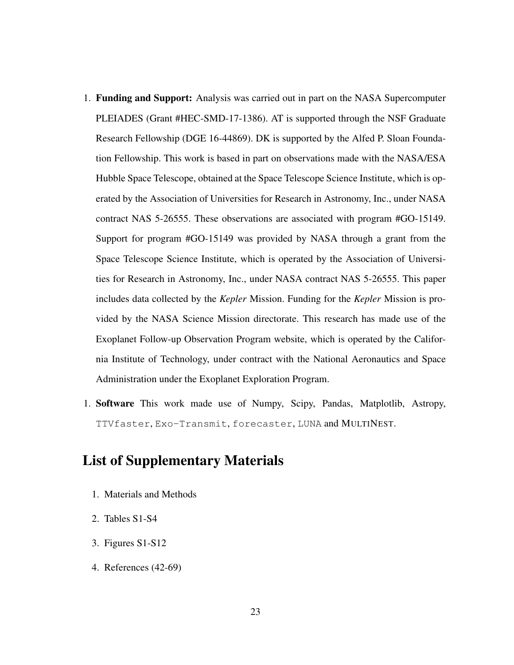- 1. Funding and Support: Analysis was carried out in part on the NASA Supercomputer PLEIADES (Grant #HEC-SMD-17-1386). AT is supported through the NSF Graduate Research Fellowship (DGE 16-44869). DK is supported by the Alfed P. Sloan Foundation Fellowship. This work is based in part on observations made with the NASA/ESA Hubble Space Telescope, obtained at the Space Telescope Science Institute, which is operated by the Association of Universities for Research in Astronomy, Inc., under NASA contract NAS 5-26555. These observations are associated with program #GO-15149. Support for program #GO-15149 was provided by NASA through a grant from the Space Telescope Science Institute, which is operated by the Association of Universities for Research in Astronomy, Inc., under NASA contract NAS 5-26555. This paper includes data collected by the *Kepler* Mission. Funding for the *Kepler* Mission is provided by the NASA Science Mission directorate. This research has made use of the Exoplanet Follow-up Observation Program website, which is operated by the California Institute of Technology, under contract with the National Aeronautics and Space Administration under the Exoplanet Exploration Program.
- 1. Software This work made use of Numpy, Scipy, Pandas, Matplotlib, Astropy, TTVfaster, Exo-Transmit, forecaster, LUNA and MULTINEST.

## List of Supplementary Materials

- 1. Materials and Methods
- 2. Tables S1-S4
- 3. Figures S1-S12
- 4. References (42-69)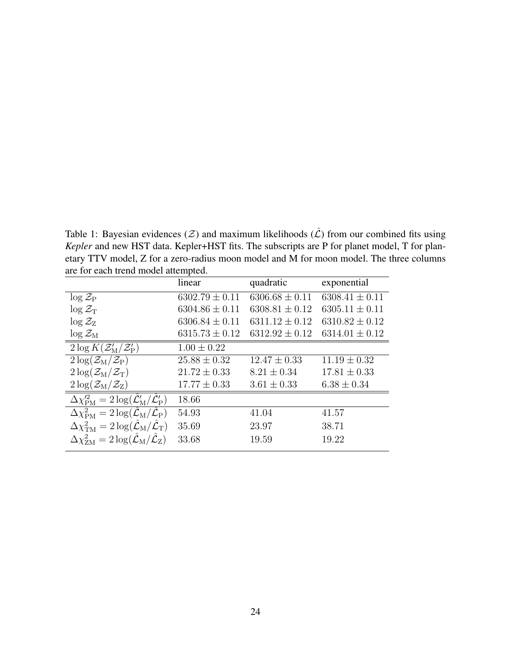Table 1: Bayesian evidences ( $Z$ ) and maximum likelihoods ( $\hat{L}$ ) from our combined fits using *Kepler* and new HST data. Kepler+HST fits. The subscripts are P for planet model, T for planetary TTV model, Z for a zero-radius moon model and M for moon model. The three columns are for each trend model attempted.

|                                                                                                 | linear             | quadratic          | exponential        |
|-------------------------------------------------------------------------------------------------|--------------------|--------------------|--------------------|
| $\log Z_{\rm P}$                                                                                | $6302.79 \pm 0.11$ | $6306.68 \pm 0.11$ | $6308.41 \pm 0.11$ |
| $\log \mathcal{Z}_{\rm T}$                                                                      | $6304.86 \pm 0.11$ | $6308.81 \pm 0.12$ | $6305.11 \pm 0.11$ |
| $\log Z_{\rm Z}$                                                                                | $6306.84 \pm 0.11$ | $6311.12 \pm 0.12$ | $6310.82 \pm 0.12$ |
| $\log \mathcal{Z}_{\rm M}$                                                                      | $6315.73 \pm 0.12$ | $6312.92 \pm 0.12$ | $6314.01 \pm 0.12$ |
| $2\log K(\mathcal{Z}_{\mathrm{M}}^{\prime}/\mathcal{Z}_{\mathrm{P}}^{\prime})$                  | $1.00 \pm 0.22$    |                    |                    |
| $2\log(\mathcal{Z}_{\rm M}/\mathcal{Z}_{\rm P})$                                                | $25.88 \pm 0.32$   | $12.47 \pm 0.33$   | $11.19 \pm 0.32$   |
| $2\log(\mathcal{Z}_{\rm M}/\mathcal{Z}_{\rm T})$                                                | $21.72 \pm 0.33$   | $8.21 \pm 0.34$    | $17.81 \pm 0.33$   |
| $2\log(\mathcal{Z}_{\rm M}/\mathcal{Z}_{\rm Z})$                                                | $17.77 \pm 0.33$   | $3.61 \pm 0.33$    | $6.38 \pm 0.34$    |
| $\Delta\chi_{\rm PM}^{\prime 2} = 2\log(\hat{\mathcal{L}}_{\rm M}'/\hat{\mathcal{L}}_{\rm P}')$ | 18.66              |                    |                    |
| $\Delta \chi_{\rm PM}^2 = 2 \log (\mathcal{L}_{\rm M}/\mathcal{L}_{\rm P})$                     | 54.93              | 41.04              | 41.57              |
| $\Delta \chi^2_{\rm TM} = 2 \log (\mathcal{L}_{\rm M}/\mathcal{L}_{\rm T})$                     | 35.69              | 23.97              | 38.71              |
| $\Delta \chi^2_{\rm ZM} = 2 \log (\mathcal{L}_{\rm M}/\mathcal{L}_{\rm Z})$                     | 33.68              | 19.59              | 19.22              |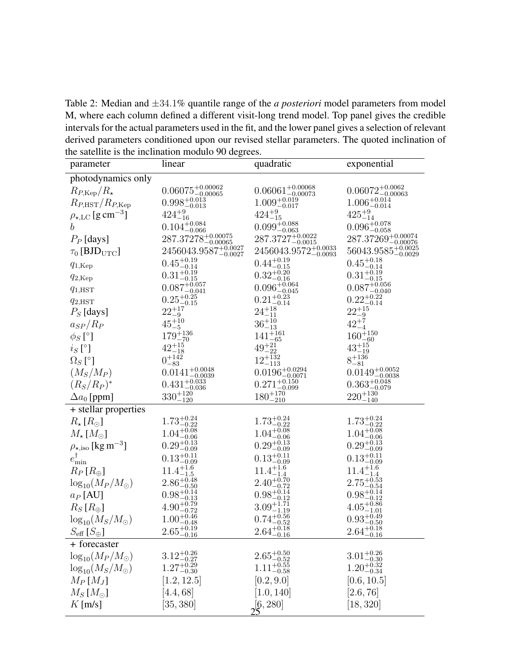Table 2: Median and ±34.1% quantile range of the *a posteriori* model parameters from model M, where each column defined a different visit-long trend model. Top panel gives the credible intervals for the actual parameters used in the fit, and the lower panel gives a selection of relevant derived parameters conditioned upon our revised stellar parameters. The quoted inclination of the satellite is the inclination modulo 90 degrees.

| parameter                                         | linear                                                 | quadratic                          | exponential                            |
|---------------------------------------------------|--------------------------------------------------------|------------------------------------|----------------------------------------|
| photodynamics only                                |                                                        |                                    |                                        |
| $R_{P,\text{Kep}}/R_{\star}$                      | $0.06075^{+0.00062}_{-0.00065}$                        | $0.06061^{+0.00068}_{-0.00073}$    | $0.06072_{-0.00063}^{+0.0062}$         |
| $R_{P,\text{HST}}/R_{P,\text{Kep}}$               | $0.998\substack{+0.013 \\ -0.013}$                     | $1.009_{-0.017}^{+0.019}$          | $1.006_{-0.014}^{+0.014}$              |
| $\rho_{\star,\text{LC}}$ [g cm <sup>-3</sup> ]    | $424^{+9}_{-16}$                                       | $424^{+9}_{-15}$                   | $425^{+9}_{-14}$                       |
| $\boldsymbol{b}$                                  | $0.104^{+0.084}_{-0.066}$                              | $0.099_{-0.063}^{+0.088}$          | $0.096_{-0.058}^{+0.078}$              |
| $P_P$ [days]                                      | $287.37278^{\mathrm {+0.00075}}_{\mathrm {-0.00065}}$  | $287.3727^{+0.0022}_{-0.0015}$     | $287.37269^{+0.00074}_{-0.00076}$      |
| $\tau_0$ [BJD <sub>UTC</sub> ]                    | $2456043.9587^{\mathrm {+0.0027}}_{\mathrm {-0.0027}}$ | $2456043.9572_{-0.0093}^{+0.0033}$ | $56043.9585\substack{+0.0025\-0.0029}$ |
| $q_{1,\text{Kep}}$                                | $0.45_{-0.14}^{+0.19}$                                 | $0.44_{-0.15}^{+0.19}$             | $0.45^{+0.18}_{-0.14}$                 |
| $q_{2,\text{Kep}}$                                | $0.31_{-0.15}^{+0.19}$                                 | $0.32_{-0.16}^{+0.20}$             | $0.31_{-0.15}^{+0.19}$                 |
| $q_{1,\text{HST}}$                                | $0.087^{+0.057}_{-0.041}$                              | $0.096_{-0.045}^{+0.064}$          | $0.087\substack{+0.056 \\ -0.040}$     |
| $q_{2,\text{HST}}$                                | $0.25_{-0.15}^{+0.25}$                                 | $0.21_{-0.14}^{+0.23}$             | $0.22^{+0.22}_{-0.14}$                 |
| $P_S$ [days]                                      | $22^{+17}_{-9}$                                        | $24^{+18}_{-11}$                   | $22^{+15}_{-9}$                        |
| $a_{SP}/R_P$                                      | $45^{+10}_{-5}$                                        | $36^{+10}_{-13}$                   | $42^{+7}_{-4}$                         |
| $\phi_S$ [°]                                      | $179^{+136}_{-70}$                                     | $141^{+161}_{-65}$                 | $160^{+150}_{-60}$                     |
| $i_S$ [°]                                         | $42^{+15}_{-18}$                                       | $49^{+21}_{-22}$                   | $43^{+15}_{-19}$                       |
| $\Omega_S$ [°]                                    | $0^{+142}_{-83}$                                       | $12^{+132}_{-113}$                 | $8^{+136}_{-81}$                       |
| $(M_S/M_P)$                                       | $0.0141^{+0.0048}_{-0.0039}$                           | $0.0196_{-0.0071}^{+0.0294}$       | $0.0149_{-0.0038}^{+0.0052}$           |
| $(R_S/R_P)^*$                                     | $0.431_{-0.036}^{+0.033}$                              | $0.271_{-0.099}^{+0.150}$          | $0.363_{-0.079}^{+0.048}$              |
| $\Delta a_0$ [ppm]                                | $330^{+120}_{-120}$                                    | $180^{+170}_{-210}$                | $220^{+130}_{-140}$                    |
| + stellar properties                              |                                                        |                                    |                                        |
| $R_{\star} [R_{\odot}]$                           | $1.73_{-0.22}^{+0.24}$                                 | $1.73_{-0.22}^{+0.24}$             | $1.73_{-0.22}^{+0.24}$                 |
| $M_{\star}$ [ $M_{\odot}$ ]                       | $1.04_{-0.06}^{+0.08}$                                 | $1.04_{-0.06}^{+0.08}$             | $1.04^{+0.08}_{-0.06}$                 |
| $\rho_{\star,\mathrm{iso}}$ [kg m <sup>-3</sup> ] | $0.29^{+0.13}_{-0.09}$                                 | $0.29^{+0.13}_{-0.09}$             | $0.29^{+0.13}_{-0.09}$                 |
| $e_{\min}^{\dagger}$                              | $0.13_{-0.09}^{+0.11}$                                 | $0.13_{-0.09}^{+0.11}$             | $0.13_{-0.09}^{+0.11}$                 |
| $R_P[R_{\oplus}]$                                 | $11.4^{+1.6}_{-1.5}$                                   | $11.4^{+1.6}_{-1.4}$               | $11.4^{+1.6}_{-1.4}$                   |
| $\log_{10}(M_P/M_\odot)$                          | $2.86^{+0.48}_{-0.50}$                                 | $2.40_{-0.72}^{+0.70}$             | $2.75^{+0.53}_{-0.54}$                 |
| $a_P$ [AU]                                        | $0.98^{+0.14}_{-0.13}$                                 | $0.98^{+0.14}_{-0.12}$             | $0.98^{+0.14}_{-0.12}$                 |
| $R_S[R_{\oplus}]$                                 | $4.90_{-0.72}^{+0.79}$                                 | $3.09_{-1.19}^{+1.71}$             | $4.05_{-1.01}^{+0.86}$                 |
| $\log_{10}(M_S/M_\odot)$                          | $1.00^{+0.46}_{-0.48}$                                 | $0.74_{-0.52}^{+0.56}$             | $0.93_{-0.50}^{+0.49}$                 |
| $S_{\text{eff}}\left[S_{\oplus}\right]$           | $2.65^{+0.19}_{-0.16}$                                 | $2.64_{-0.16}^{+0.18}$             | $2.64^{+0.18}_{-0.16}$                 |
| + forecaster                                      |                                                        |                                    |                                        |
| $\log_{10}(M_P/M_\odot)$                          | $3.12^{+0.26}_{-0.27}$                                 | $2.65_{-0.52}^{+0.50}$             | $3.01_{-0.30}^{+0.26}$                 |
| $\log_{10}(M_S/M_\odot)$                          | $1.27^{+0.29}_{-0.30}$                                 | $1.11^{+0.55}_{-0.58}$             | $1.20_{-0.34}^{+0.32}$                 |
| $M_P$ [ $M_J$ ]                                   | [1.2, 12.5]                                            | [0.2, 9.0]                         | [0.6, 10.5]                            |
| $M_S$ [ $M_{\odot}$ ]                             | [4.4, 68]                                              | [1.0, 140]                         | [2.6, 76]                              |
| $K$ [m/s]                                         | [35, 380]                                              | 2[6, 280]                          | [18, 320]                              |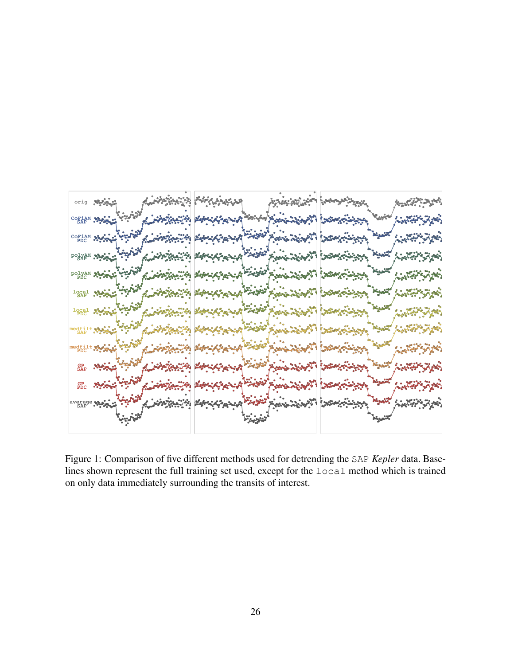

Figure 1: Comparison of five different methods used for detrending the SAP Kepler data. Baselines shown represent the full training set used, except for the local method which is trained on only data immediately surrounding the transits of interest.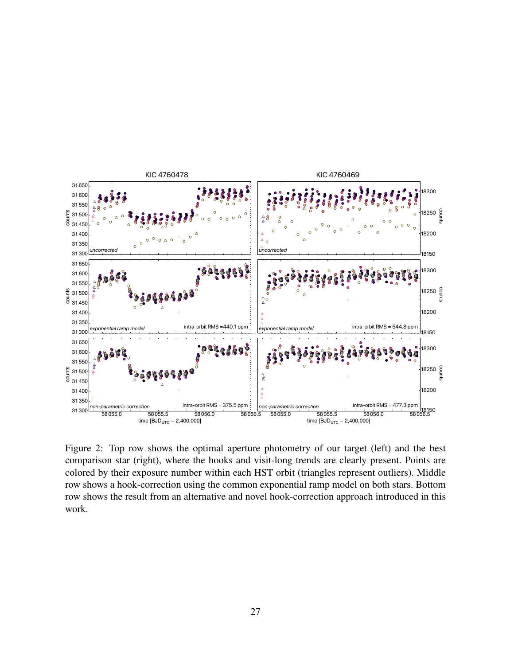

Figure 2: Top row shows the optimal aperture photometry of our target (left) and the best comparison star (right), where the hooks and visit-long trends are clearly present. Points are colored by their exposure number within each HST orbit (triangles represent outliers). Middle row shows a hook-correction using the common exponential ramp model on both stars. Bottom row shows the result from an alternative and novel hook-correction approach introduced in this work.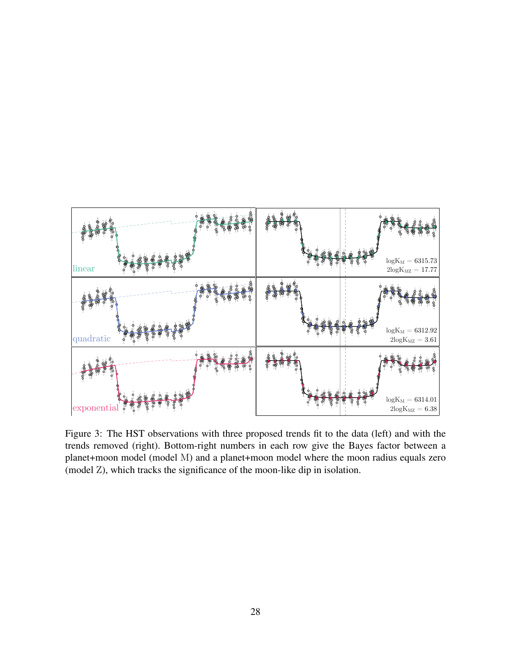

Figure 3: The HST observations with three proposed trends fit to the data (left) and with the trends removed (right). Bottom-right numbers in each row give the Bayes factor between a planet+moon model (model M) and a planet+moon model where the moon radius equals zero (model Z), which tracks the significance of the moon-like dip in isolation.